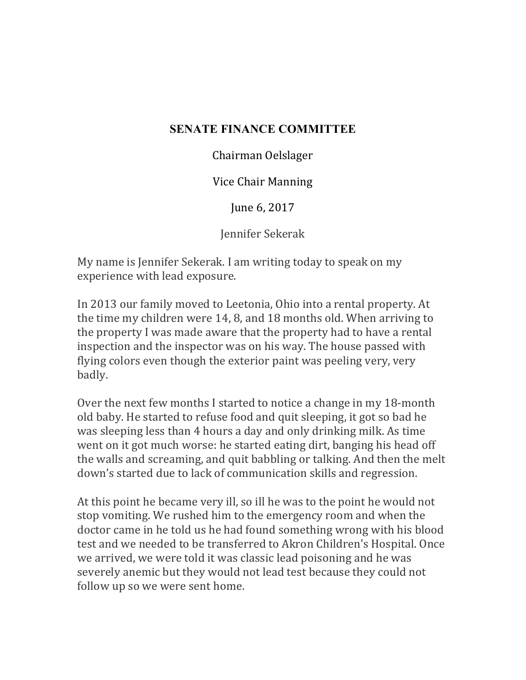## **SENATE FINANCE COMMITTEE**

Chairman Oelslager

Vice Chair Manning

June 6, 2017

Jennifer Sekerak

My name is Jennifer Sekerak. I am writing today to speak on my experience with lead exposure.

In 2013 our family moved to Leetonia, Ohio into a rental property. At the time my children were 14, 8, and 18 months old. When arriving to the property I was made aware that the property had to have a rental inspection and the inspector was on his way. The house passed with flying colors even though the exterior paint was peeling very, very badly. 

Over the next few months I started to notice a change in my 18-month old baby. He started to refuse food and quit sleeping, it got so bad he was sleeping less than 4 hours a day and only drinking milk. As time went on it got much worse: he started eating dirt, banging his head off the walls and screaming, and quit babbling or talking. And then the melt down's started due to lack of communication skills and regression.

At this point he became very ill, so ill he was to the point he would not stop vomiting. We rushed him to the emergency room and when the doctor came in he told us he had found something wrong with his blood test and we needed to be transferred to Akron Children's Hospital. Once we arrived, we were told it was classic lead poisoning and he was severely anemic but they would not lead test because they could not follow up so we were sent home.